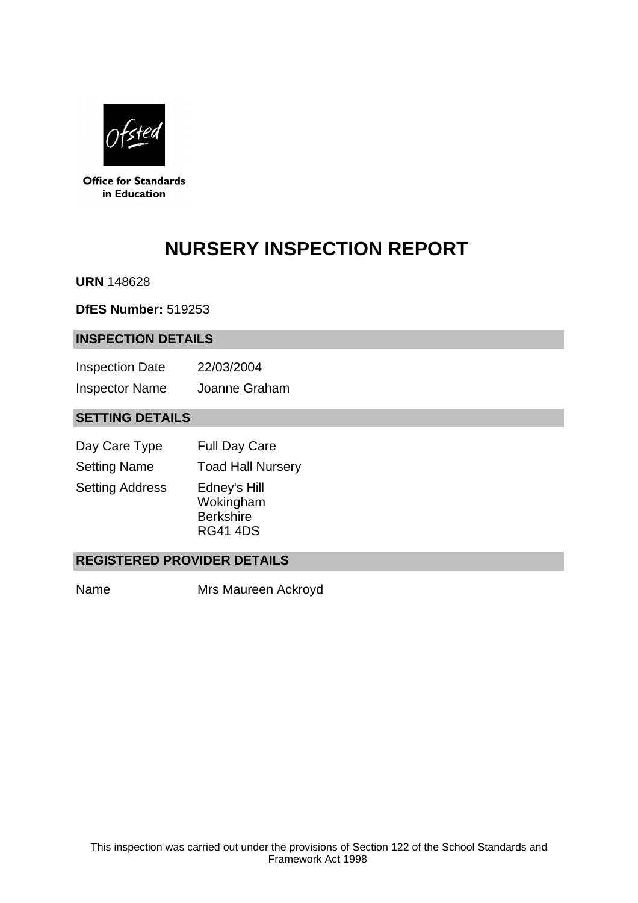

**Office for Standards** in Education

# **NURSERY INSPECTION REPORT**

**URN** 148628

**DfES Number:** 519253

#### **INSPECTION DETAILS**

| <b>Inspection Date</b> | 22/03/2004    |
|------------------------|---------------|
| <b>Inspector Name</b>  | Joanne Graham |

# **SETTING DETAILS**

| Day Care Type          | <b>Full Day Care</b>                                             |
|------------------------|------------------------------------------------------------------|
| <b>Setting Name</b>    | <b>Toad Hall Nursery</b>                                         |
| <b>Setting Address</b> | Edney's Hill<br>Wokingham<br><b>Berkshire</b><br><b>RG41 4DS</b> |

# **REGISTERED PROVIDER DETAILS**

Name Mrs Maureen Ackroyd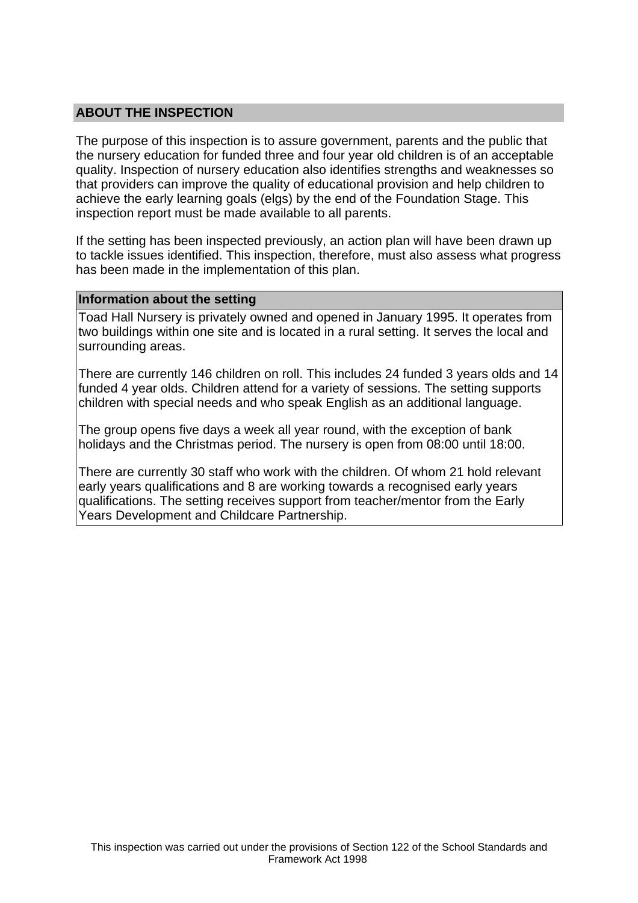## **ABOUT THE INSPECTION**

The purpose of this inspection is to assure government, parents and the public that the nursery education for funded three and four year old children is of an acceptable quality. Inspection of nursery education also identifies strengths and weaknesses so that providers can improve the quality of educational provision and help children to achieve the early learning goals (elgs) by the end of the Foundation Stage. This inspection report must be made available to all parents.

If the setting has been inspected previously, an action plan will have been drawn up to tackle issues identified. This inspection, therefore, must also assess what progress has been made in the implementation of this plan.

#### **Information about the setting**

Toad Hall Nursery is privately owned and opened in January 1995. It operates from two buildings within one site and is located in a rural setting. It serves the local and surrounding areas.

There are currently 146 children on roll. This includes 24 funded 3 years olds and 14 funded 4 year olds. Children attend for a variety of sessions. The setting supports children with special needs and who speak English as an additional language.

The group opens five days a week all year round, with the exception of bank holidays and the Christmas period. The nursery is open from 08:00 until 18:00.

There are currently 30 staff who work with the children. Of whom 21 hold relevant early years qualifications and 8 are working towards a recognised early years qualifications. The setting receives support from teacher/mentor from the Early Years Development and Childcare Partnership.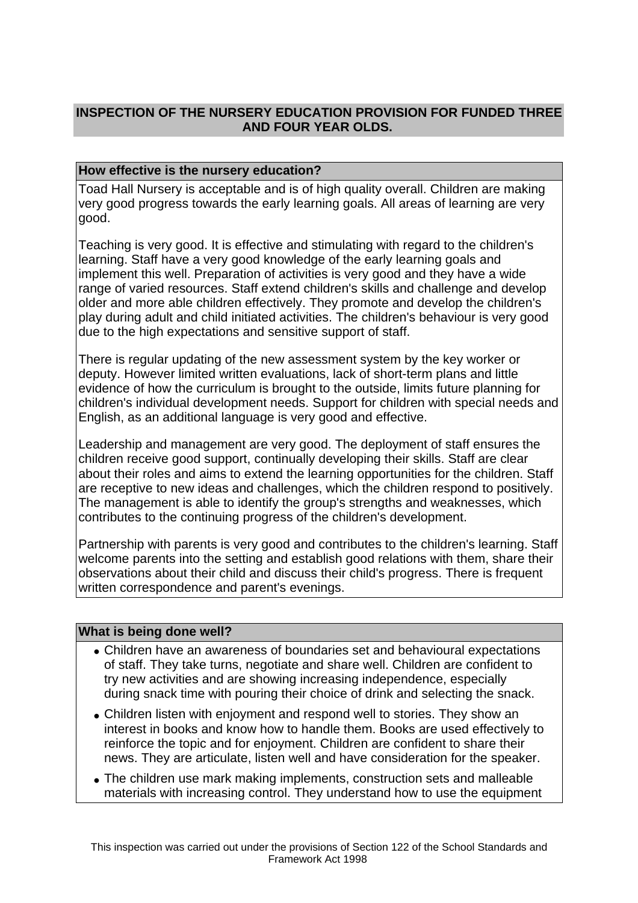# **INSPECTION OF THE NURSERY EDUCATION PROVISION FOR FUNDED THREE AND FOUR YEAR OLDS.**

## **How effective is the nursery education?**

Toad Hall Nursery is acceptable and is of high quality overall. Children are making very good progress towards the early learning goals. All areas of learning are very good.

Teaching is very good. It is effective and stimulating with regard to the children's learning. Staff have a very good knowledge of the early learning goals and implement this well. Preparation of activities is very good and they have a wide range of varied resources. Staff extend children's skills and challenge and develop older and more able children effectively. They promote and develop the children's play during adult and child initiated activities. The children's behaviour is very good due to the high expectations and sensitive support of staff.

There is regular updating of the new assessment system by the key worker or deputy. However limited written evaluations, lack of short-term plans and little evidence of how the curriculum is brought to the outside, limits future planning for children's individual development needs. Support for children with special needs and English, as an additional language is very good and effective.

Leadership and management are very good. The deployment of staff ensures the children receive good support, continually developing their skills. Staff are clear about their roles and aims to extend the learning opportunities for the children. Staff are receptive to new ideas and challenges, which the children respond to positively. The management is able to identify the group's strengths and weaknesses, which contributes to the continuing progress of the children's development.

Partnership with parents is very good and contributes to the children's learning. Staff welcome parents into the setting and establish good relations with them, share their observations about their child and discuss their child's progress. There is frequent written correspondence and parent's evenings.

#### **What is being done well?**

- Children have an awareness of boundaries set and behavioural expectations of staff. They take turns, negotiate and share well. Children are confident to try new activities and are showing increasing independence, especially during snack time with pouring their choice of drink and selecting the snack.
- Children listen with enjoyment and respond well to stories. They show an interest in books and know how to handle them. Books are used effectively to reinforce the topic and for enjoyment. Children are confident to share their news. They are articulate, listen well and have consideration for the speaker.
- The children use mark making implements, construction sets and malleable materials with increasing control. They understand how to use the equipment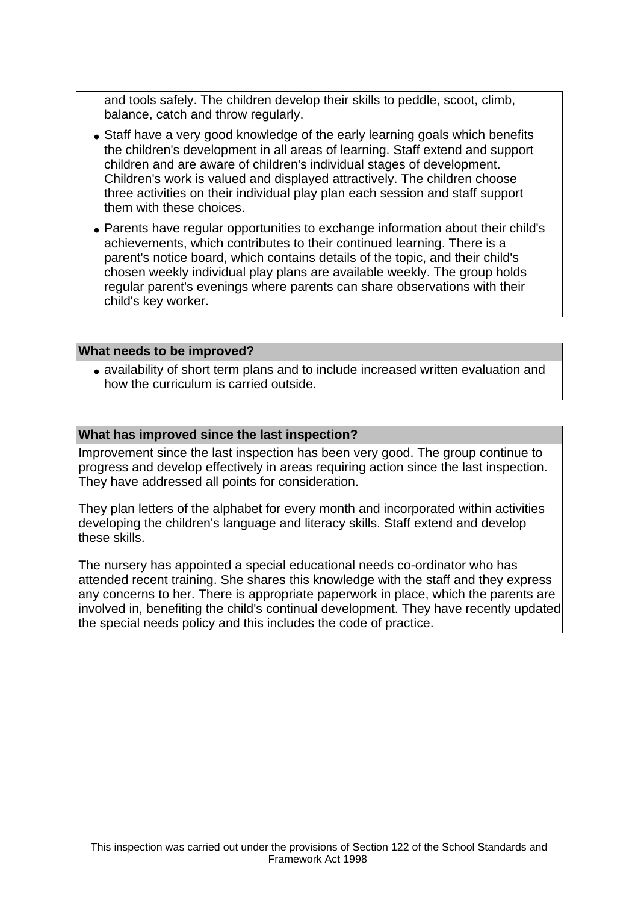and tools safely. The children develop their skills to peddle, scoot, climb, balance, catch and throw regularly.

- Staff have a very good knowledge of the early learning goals which benefits the children's development in all areas of learning. Staff extend and support children and are aware of children's individual stages of development. Children's work is valued and displayed attractively. The children choose three activities on their individual play plan each session and staff support them with these choices.
- Parents have regular opportunities to exchange information about their child's achievements, which contributes to their continued learning. There is a parent's notice board, which contains details of the topic, and their child's chosen weekly individual play plans are available weekly. The group holds regular parent's evenings where parents can share observations with their child's key worker.

#### **What needs to be improved?**

• availability of short term plans and to include increased written evaluation and how the curriculum is carried outside.

#### **What has improved since the last inspection?**

Improvement since the last inspection has been very good. The group continue to progress and develop effectively in areas requiring action since the last inspection. They have addressed all points for consideration.

They plan letters of the alphabet for every month and incorporated within activities developing the children's language and literacy skills. Staff extend and develop these skills.

The nursery has appointed a special educational needs co-ordinator who has attended recent training. She shares this knowledge with the staff and they express any concerns to her. There is appropriate paperwork in place, which the parents are involved in, benefiting the child's continual development. They have recently updated the special needs policy and this includes the code of practice.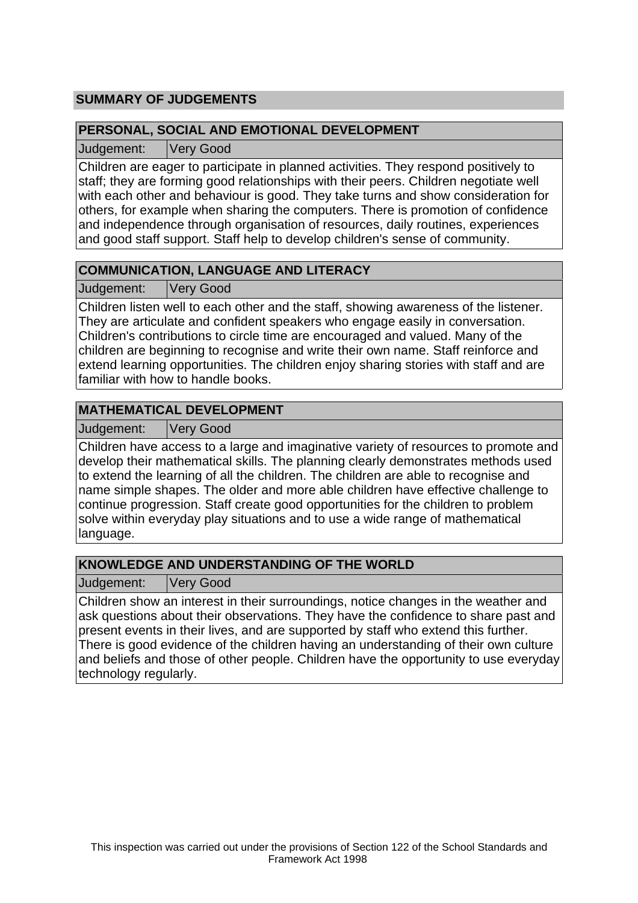# **SUMMARY OF JUDGEMENTS**

## **PERSONAL, SOCIAL AND EMOTIONAL DEVELOPMENT**

Judgement: Very Good

Children are eager to participate in planned activities. They respond positively to staff; they are forming good relationships with their peers. Children negotiate well with each other and behaviour is good. They take turns and show consideration for others, for example when sharing the computers. There is promotion of confidence and independence through organisation of resources, daily routines, experiences and good staff support. Staff help to develop children's sense of community.

# **COMMUNICATION, LANGUAGE AND LITERACY**

Judgement: Very Good

Children listen well to each other and the staff, showing awareness of the listener. They are articulate and confident speakers who engage easily in conversation. Children's contributions to circle time are encouraged and valued. Many of the children are beginning to recognise and write their own name. Staff reinforce and extend learning opportunities. The children enjoy sharing stories with staff and are familiar with how to handle books.

# **MATHEMATICAL DEVELOPMENT**

Judgement: Very Good

Children have access to a large and imaginative variety of resources to promote and develop their mathematical skills. The planning clearly demonstrates methods used to extend the learning of all the children. The children are able to recognise and name simple shapes. The older and more able children have effective challenge to continue progression. Staff create good opportunities for the children to problem solve within everyday play situations and to use a wide range of mathematical language.

# **KNOWLEDGE AND UNDERSTANDING OF THE WORLD**

Judgement: Very Good

Children show an interest in their surroundings, notice changes in the weather and ask questions about their observations. They have the confidence to share past and present events in their lives, and are supported by staff who extend this further. There is good evidence of the children having an understanding of their own culture and beliefs and those of other people. Children have the opportunity to use everyday technology regularly.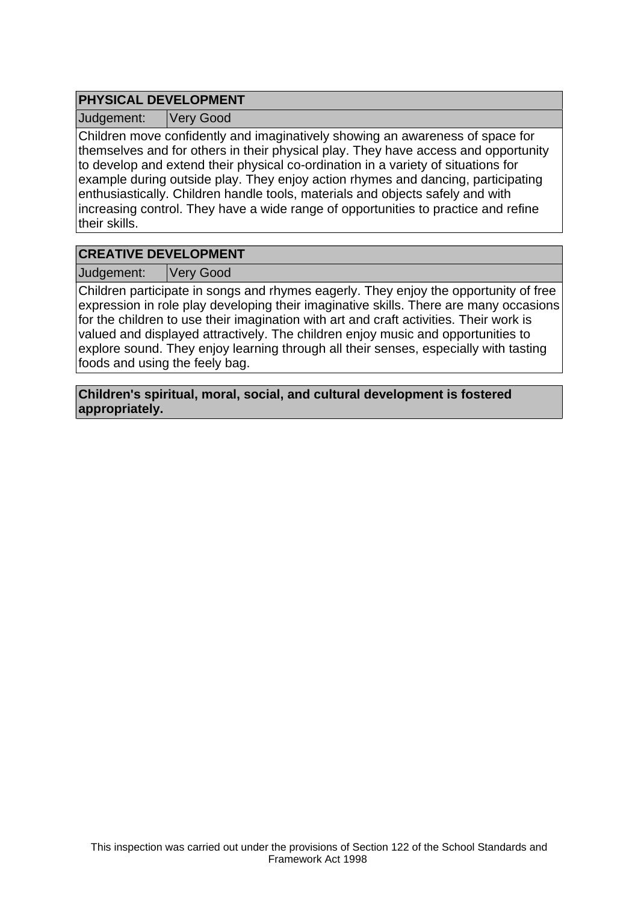## **PHYSICAL DEVELOPMENT**

Judgement: Very Good

Children move confidently and imaginatively showing an awareness of space for themselves and for others in their physical play. They have access and opportunity to develop and extend their physical co-ordination in a variety of situations for example during outside play. They enjoy action rhymes and dancing, participating enthusiastically. Children handle tools, materials and objects safely and with increasing control. They have a wide range of opportunities to practice and refine their skills.

## **CREATIVE DEVELOPMENT**

Judgement: Very Good

Children participate in songs and rhymes eagerly. They enjoy the opportunity of free expression in role play developing their imaginative skills. There are many occasions for the children to use their imagination with art and craft activities. Their work is valued and displayed attractively. The children enjoy music and opportunities to explore sound. They enjoy learning through all their senses, especially with tasting foods and using the feely bag.

**Children's spiritual, moral, social, and cultural development is fostered appropriately.**